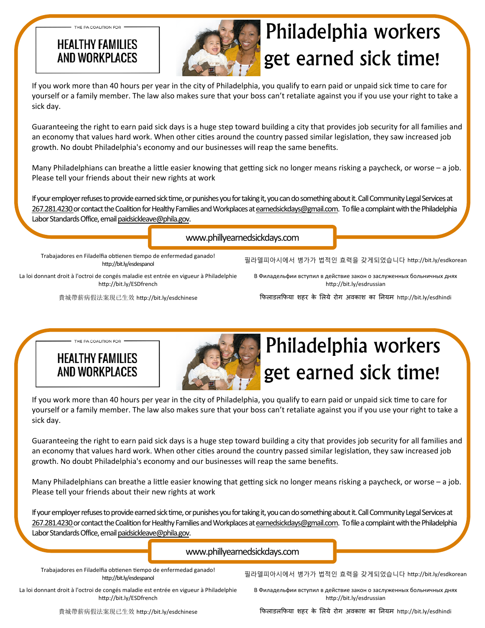#### **HEALTHY FAMILIES** AND WORKPLACES

THE PA COALITION FOR



# Philadelphia workers get earned sick time!

If you work more than 40 hours per year in the city of Philadelphia, you qualify to earn paid or unpaid sick time to care for yourself or a family member. The law also makes sure that your boss can't retaliate against you if you use your right to take a sick day.

Guaranteeing the right to earn paid sick days is a huge step toward building a city that provides job security for all families and an economy that values hard work. When other cities around the country passed similar legislation, they saw increased job growth. No doubt Philadelphia's economy and our businesses will reap the same benefits.

Many Philadelphians can breathe a little easier knowing that getting sick no longer means risking a paycheck, or worse – a job. Please tell your friends about their new rights at work

If your employer refuses to provide earned sick time, or punishes you for taking it, you can do something about it. Call Community Legal Services at 267.281.4230 or contact the Coalition for Healthy Families and Workplaces at earnedsickdays@gmail.com. To file a complaint with the Philadelphia Labor Standards Office, email paidsickleave@phila.gov.

www.phillyearnedsickdays.com

Trabajadores en Filadelfia obtienen tiempo de enfermedad ganado! http://bit.ly/esdespanol

La loi donnant droit à l'octroi de congés maladie est entrée en vigueur à Philadelphie http://bit.ly/ESDfrench

費城帶薪病假法案現已生效 hƩp://bit.ly/esdchinese

필라델피아시에서 병가가 법적인 효력을 갖게되었습니다 http://bit.ly/esdkorean

В Филадельфии вступил в действие закон о заслуженных больничных днях http://bit.ly/esdrussian

िफलाडलिफया शहर के िलये रोग अवकाश का िनयम hƩp://bit.ly/esdhindi

**HEALTHY FAMILIES** AND WORKPI ACFS

THE PA COALITION FOR



# Philadelphia workers get earned sick time!

If you work more than 40 hours per year in the city of Philadelphia, you qualify to earn paid or unpaid sick time to care for yourself or a family member. The law also makes sure that your boss can't retaliate against you if you use your right to take a sick day.

Guaranteeing the right to earn paid sick days is a huge step toward building a city that provides job security for all families and an economy that values hard work. When other cities around the country passed similar legislation, they saw increased job growth. No doubt Philadelphia's economy and our businesses will reap the same benefits.

Many Philadelphians can breathe a little easier knowing that getting sick no longer means risking a paycheck, or worse – a job. Please tell your friends about their new rights at work

If your employer refuses to provide earned sick time, or punishes you for taking it, you can do something about it. Call Community Legal Services at 267.281.4230 or contact the Coalition for Healthy Families and Workplaces at earnedsickdays@gmail.com. To file a complaint with the Philadelphia Labor Standards Office, email paidsickleave@phila.gov.

#### www.phillyearnedsickdays.com

Trabajadores en Filadelfia obtienen tiempo de enfermedad ganado! http://bit.ly/esdespanol

필라델피아시에서 병가가 법적인 효력을 갖게되었습니다 http://bit.ly/esdkorean

La loi donnant droit à l'octroi de congés maladie est entrée en vigueur à Philadelphie http://bit.ly/ESDfrench

В Филадельфии вступил в действие закон о заслуженных больничных днях http://bit.ly/esdrussian

費城帶薪病假法案現已生效 hƩp://bit.ly/esdchinese

िफलाडलिफया शहर के िलये रोग अवकाश का िनयम hƩp://bit.ly/esdhindi